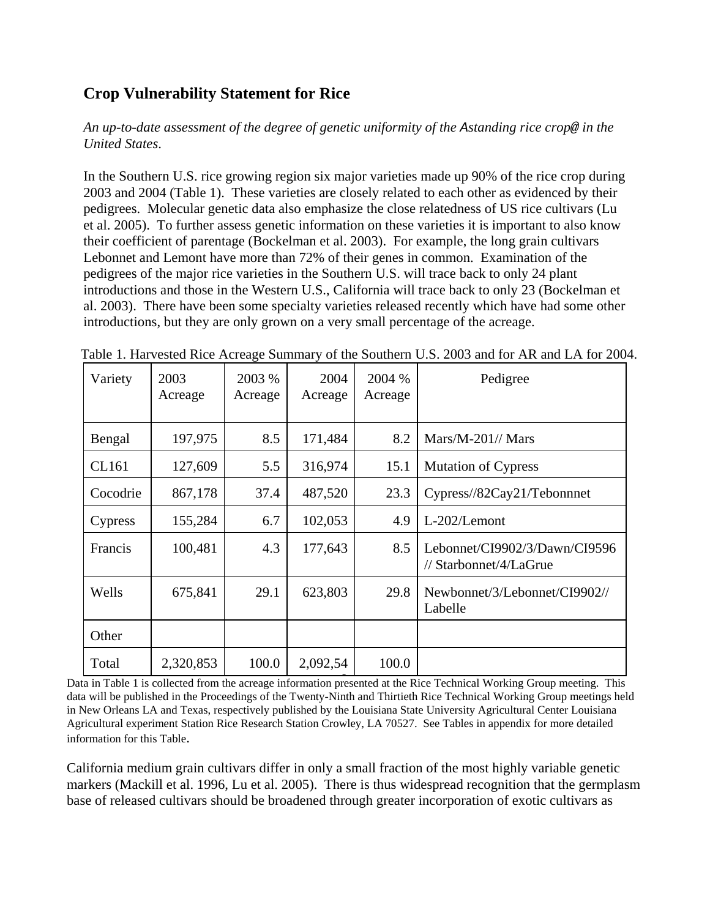## **Crop Vulnerability Statement for Rice**

*An up-to-date assessment of the degree of genetic uniformity of the Astanding rice crop@ in the United States*.

In the Southern U.S. rice growing region six major varieties made up 90% of the rice crop during 2003 and 2004 (Table 1). These varieties are closely related to each other as evidenced by their pedigrees. Molecular genetic data also emphasize the close relatedness of US rice cultivars (Lu et al. 2005). To further assess genetic information on these varieties it is important to also know their coefficient of parentage (Bockelman et al. 2003). For example, the long grain cultivars Lebonnet and Lemont have more than 72% of their genes in common. Examination of the pedigrees of the major rice varieties in the Southern U.S. will trace back to only 24 plant introductions and those in the Western U.S., California will trace back to only 23 (Bockelman et al. 2003). There have been some specialty varieties released recently which have had some other introductions, but they are only grown on a very small percentage of the acreage.

| Variety  | 2003<br>Acreage | 2003 %<br>Acreage | 2004<br>Acreage | 2004 %<br>Acreage | Pedigree                                                |
|----------|-----------------|-------------------|-----------------|-------------------|---------------------------------------------------------|
| Bengal   | 197,975         | 8.5               | 171,484         | 8.2               | $Mars/M-201$ // Mars                                    |
| CL161    | 127,609         | 5.5               | 316,974         | 15.1              | <b>Mutation of Cypress</b>                              |
| Cocodrie | 867,178         | 37.4              | 487,520         | 23.3              | Cypress//82Cay21/Tebonnnet                              |
| Cypress  | 155,284         | 6.7               | 102,053         | 4.9               | L-202/Lemont                                            |
| Francis  | 100,481         | 4.3               | 177,643         | 8.5               | Lebonnet/CI9902/3/Dawn/CI9596<br>// Starbonnet/4/LaGrue |
| Wells    | 675,841         | 29.1              | 623,803         | 29.8              | Newbonnet/3/Lebonnet/CI9902//<br>Labelle                |
| Other    |                 |                   |                 |                   |                                                         |
| Total    | 2,320,853       | 100.0             | 2,092,54        | 100.0             |                                                         |

Table 1. Harvested Rice Acreage Summary of the Southern U.S. 2003 and for AR and LA for 2004.

Data in Table 1 is collected from the acreage information presented at the Rice Technical Working Group meeting. This data will be published in the Proceedings of the Twenty-Ninth and Thirtieth Rice Technical Working Group meetings held in New Orleans LA and Texas, respectively published by the Louisiana State University Agricultural Center Louisiana Agricultural experiment Station Rice Research Station Crowley, LA 70527. See Tables in appendix for more detailed information for this Table.

California medium grain cultivars differ in only a small fraction of the most highly variable genetic markers (Mackill et al. 1996, Lu et al. 2005). There is thus widespread recognition that the germplasm base of released cultivars should be broadened through greater incorporation of exotic cultivars as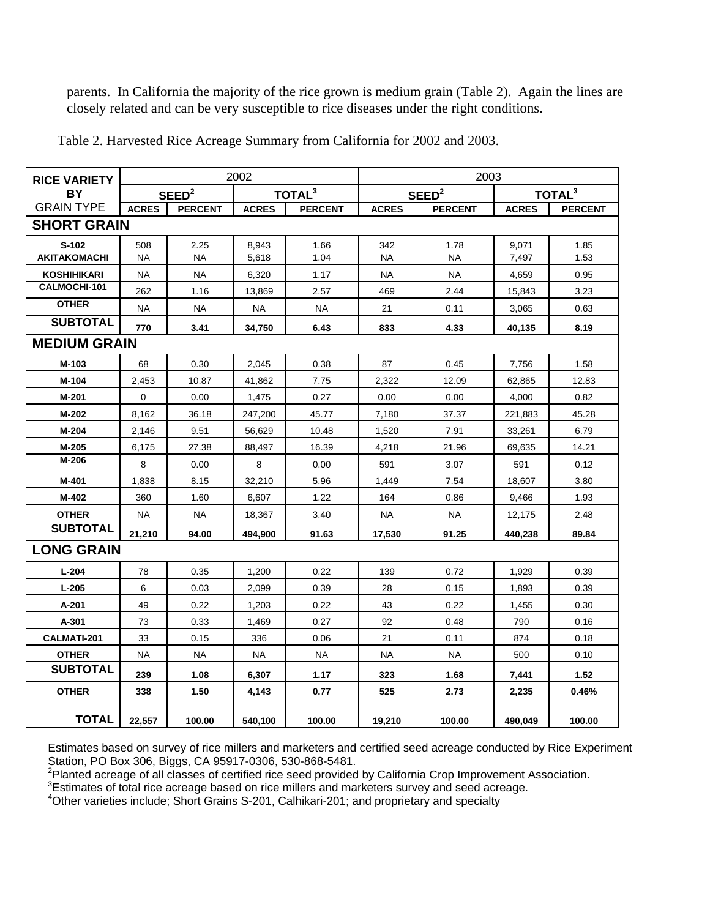parents. In California the majority of the rice grown is medium grain (Table 2). Again the lines are closely related and can be very susceptible to rice diseases under the right conditions.

| <b>RICE VARIETY</b> |              |                   | 2002         |                    | 2003         |                   |              |                    |  |  |  |
|---------------------|--------------|-------------------|--------------|--------------------|--------------|-------------------|--------------|--------------------|--|--|--|
| BY                  |              | SEED <sup>2</sup> |              | TOTAL <sup>3</sup> |              | SEED <sup>2</sup> |              | TOTAL <sup>3</sup> |  |  |  |
| <b>GRAIN TYPE</b>   | <b>ACRES</b> | <b>PERCENT</b>    | <b>ACRES</b> | <b>PERCENT</b>     | <b>ACRES</b> | <b>PERCENT</b>    | <b>ACRES</b> | <b>PERCENT</b>     |  |  |  |
| <b>SHORT GRAIN</b>  |              |                   |              |                    |              |                   |              |                    |  |  |  |
| S-102               | 508          | 2.25              | 8,943        | 1.66               | 342          | 1.78              | 9.071        | 1.85               |  |  |  |
| <b>AKITAKOMACHI</b> | <b>NA</b>    | <b>NA</b>         | 5,618        | 1.04               | <b>NA</b>    | <b>NA</b>         | 7,497        | 1.53               |  |  |  |
| <b>KOSHIHIKARI</b>  | <b>NA</b>    | <b>NA</b>         | 6,320        | 1.17               | <b>NA</b>    | <b>NA</b>         | 4,659        | 0.95               |  |  |  |
| CALMOCHI-101        | 262          | 1.16              | 13,869       | 2.57               | 469          | 2.44              | 15,843       | 3.23               |  |  |  |
| <b>OTHER</b>        | <b>NA</b>    | <b>NA</b>         | NA           | <b>NA</b>          | 21           | 0.11              | 3,065        | 0.63               |  |  |  |
| <b>SUBTOTAL</b>     | 770          | 3.41              | 34.750       | 6.43               | 833          | 4.33              | 40,135       | 8.19               |  |  |  |
| <b>MEDIUM GRAIN</b> |              |                   |              |                    |              |                   |              |                    |  |  |  |
| M-103               | 68           | 0.30              | 2,045        | 0.38               | 87           | 0.45              | 7,756        | 1.58               |  |  |  |
| M-104               | 2,453        | 10.87             | 41,862       | 7.75               | 2,322        | 12.09             | 62,865       | 12.83              |  |  |  |
| M-201               | 0            | 0.00              | 1,475        | 0.27               | 0.00         | 0.00              | 4,000        | 0.82               |  |  |  |
| M-202               | 8,162        | 36.18             | 247,200      | 45.77              | 7,180        | 37.37             | 221,883      | 45.28              |  |  |  |
| M-204               | 2,146        | 9.51              | 56,629       | 10.48              | 1,520        | 7.91              | 33,261       | 6.79               |  |  |  |
| $M-205$             | 6,175        | 27.38             | 88,497       | 16.39              | 4,218        | 21.96             | 69,635       | 14.21              |  |  |  |
| M-206               | 8            | 0.00              | 8            | 0.00               | 591          | 3.07              | 591          | 0.12               |  |  |  |
| M-401               | 1,838        | 8.15              | 32,210       | 5.96               | 1,449        | 7.54              | 18,607       | 3.80               |  |  |  |
| M-402               | 360          | 1.60              | 6.607        | 1.22               | 164          | 0.86              | 9.466        | 1.93               |  |  |  |
| <b>OTHER</b>        | <b>NA</b>    | <b>NA</b>         | 18,367       | 3.40               | <b>NA</b>    | <b>NA</b>         | 12,175       | 2.48               |  |  |  |
| <b>SUBTOTAL</b>     | 21,210       | 94.00             | 494,900      | 91.63              | 17,530       | 91.25             | 440,238      | 89.84              |  |  |  |
| <b>LONG GRAIN</b>   |              |                   |              |                    |              |                   |              |                    |  |  |  |
| $L - 204$           | 78           | 0.35              | 1,200        | 0.22               | 139          | 0.72              | 1,929        | 0.39               |  |  |  |
| $L-205$             | 6            | 0.03              | 2,099        | 0.39               | 28           | 0.15              | 1,893        | 0.39               |  |  |  |
| A-201               | 49           | 0.22              | 1,203        | 0.22               | 43           | 0.22              | 1,455        | 0.30               |  |  |  |
| A-301               | 73           | 0.33              | 1,469        | 0.27               | 92           | 0.48              | 790          | 0.16               |  |  |  |
| CALMATI-201         | 33           | 0.15              | 336          | 0.06               | 21           | 0.11              | 874          | 0.18               |  |  |  |
| <b>OTHER</b>        | <b>NA</b>    | <b>NA</b>         | <b>NA</b>    | <b>NA</b>          | <b>NA</b>    | <b>NA</b>         | 500          | 0.10               |  |  |  |
| <b>SUBTOTAL</b>     | 239          | 1.08              | 6,307        | 1.17               | 323          | 1.68              | 7,441        | 1.52               |  |  |  |
| <b>OTHER</b>        | 338          | 1.50              | 4,143        | 0.77               | 525          | 2.73              | 2,235        | 0.46%              |  |  |  |
| <b>TOTAL</b>        | 22,557       | 100.00            | 540,100      | 100.00             | 19,210       | 100.00            | 490,049      | 100.00             |  |  |  |

Table 2. Harvested Rice Acreage Summary from California for 2002 and 2003.

Estimates based on survey of rice millers and marketers and certified seed acreage conducted by Rice Experiment Station, PO Box 306, Biggs, CA 95917-0306, 530-868-5481.

<sup>2</sup>Planted acreage of all classes of certified rice seed provided by California Crop Improvement Association.

 $3$ Estimates of total rice acreage based on rice millers and marketers survey and seed acreage.

4 Other varieties include; Short Grains S-201, Calhikari-201; and proprietary and specialty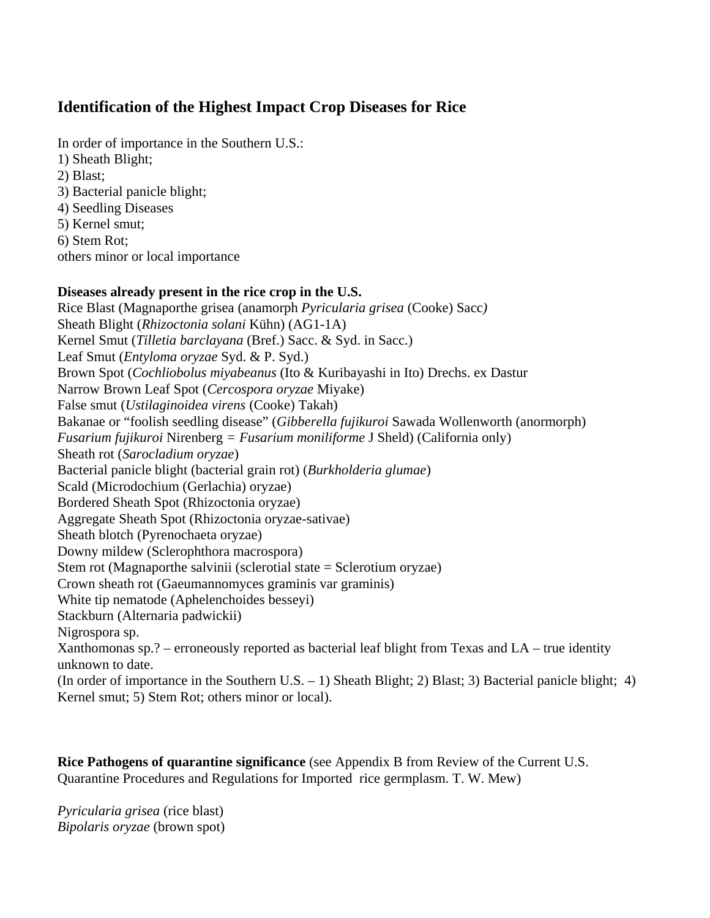## **Identification of the Highest Impact Crop Diseases for Rice**

In order of importance in the Southern U.S.: 1) Sheath Blight; 2) Blast; 3) Bacterial panicle blight; 4) Seedling Diseases 5) Kernel smut; 6) Stem Rot; others minor or local importance

### **Diseases already present in the rice crop in the U.S.**

Rice Blast (Magnaporthe grisea (anamorph *Pyricularia grisea* (Cooke) Sacc*)* Sheath Blight (*Rhizoctonia solani* Kühn) (AG1-1A) Kernel Smut (*Tilletia barclayana* (Bref.) Sacc. & Syd. in Sacc.) Leaf Smut (*Entyloma oryzae* Syd. & P. Syd.) Brown Spot (*Cochliobolus miyabeanus* (Ito & Kuribayashi in Ito) Drechs. ex Dastur Narrow Brown Leaf Spot (*Cercospora oryzae* Miyake) False smut (*Ustilaginoidea virens* (Cooke) Takah) Bakanae or "foolish seedling disease" (*Gibberella fujikuroi* Sawada Wollenworth (anormorph) *Fusarium fujikuroi* Nirenberg *= Fusarium moniliforme* J Sheld) (California only) Sheath rot (*Sarocladium oryzae*) Bacterial panicle blight (bacterial grain rot) (*Burkholderia glumae*) Scald (Microdochium (Gerlachia) oryzae) Bordered Sheath Spot (Rhizoctonia oryzae) Aggregate Sheath Spot (Rhizoctonia oryzae-sativae) Sheath blotch (Pyrenochaeta oryzae) Downy mildew (Sclerophthora macrospora) Stem rot (Magnaporthe salvinii (sclerotial state = Sclerotium oryzae) Crown sheath rot (Gaeumannomyces graminis var graminis) White tip nematode (Aphelenchoides besseyi) Stackburn (Alternaria padwickii) Nigrospora sp. Xanthomonas sp.? – erroneously reported as bacterial leaf blight from Texas and LA – true identity unknown to date. (In order of importance in the Southern U.S. – 1) Sheath Blight; 2) Blast; 3) Bacterial panicle blight; 4) Kernel smut; 5) Stem Rot; others minor or local).

**Rice Pathogens of quarantine significance** (see Appendix B from Review of the Current U.S. Quarantine Procedures and Regulations for Imported rice germplasm. T. W. Mew)

*Pyricularia grisea* (rice blast) *Bipolaris oryzae* (brown spot)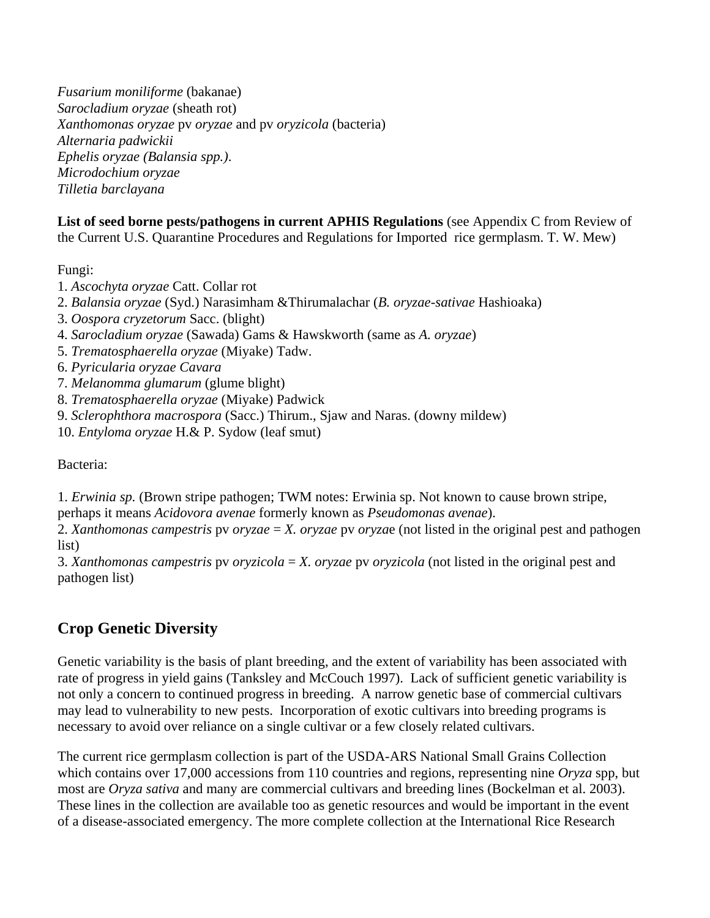*Fusarium moniliforme* (bakanae) *Sarocladium oryzae* (sheath rot) *Xanthomonas oryzae* pv *oryzae* and pv *oryzicola* (bacteria) *Alternaria padwickii Ephelis oryzae (Balansia spp.)*. *Microdochium oryzae Tilletia barclayana*

**List of seed borne pests/pathogens in current APHIS Regulations** (see Appendix C from Review of the Current U.S. Quarantine Procedures and Regulations for Imported rice germplasm. T. W. Mew)

Fungi:

- 1. *Ascochyta oryzae* Catt. Collar rot
- 2. *Balansia oryzae* (Syd.) Narasimham &Thirumalachar (*B. oryzae-sativae* Hashioaka)
- 3. *Oospora cryzetorum* Sacc. (blight)
- 4. *Sarocladium oryzae* (Sawada) Gams & Hawskworth (same as *A. oryzae*)
- 5. *Trematosphaerella oryzae* (Miyake) Tadw.
- 6. *Pyricularia oryzae Cavara*
- 7. *Melanomma glumarum* (glume blight)
- 8. *Trematosphaerella oryzae* (Miyake) Padwick
- 9. *Sclerophthora macrospora* (Sacc.) Thirum., Sjaw and Naras. (downy mildew)
- 10. *Entyloma oryzae* H.& P. Sydow (leaf smut)

Bacteria:

1. *Erwinia sp.* (Brown stripe pathogen; TWM notes: Erwinia sp. Not known to cause brown stripe, perhaps it means *Acidovora avenae* formerly known as *Pseudomonas avenae*).

2. *Xanthomonas campestris* pv *oryzae* = *X. oryzae* pv *oryza*e (not listed in the original pest and pathogen list)

3. *Xanthomonas campestris* pv *oryzicola* = *X. oryzae* pv *oryzicola* (not listed in the original pest and pathogen list)

## **Crop Genetic Diversity**

Genetic variability is the basis of plant breeding, and the extent of variability has been associated with rate of progress in yield gains (Tanksley and McCouch 1997). Lack of sufficient genetic variability is not only a concern to continued progress in breeding. A narrow genetic base of commercial cultivars may lead to vulnerability to new pests. Incorporation of exotic cultivars into breeding programs is necessary to avoid over reliance on a single cultivar or a few closely related cultivars.

The current rice germplasm collection is part of the USDA-ARS National Small Grains Collection which contains over 17,000 accessions from 110 countries and regions, representing nine *Oryza* spp, but most are *Oryza sativa* and many are commercial cultivars and breeding lines (Bockelman et al. 2003). These lines in the collection are available too as genetic resources and would be important in the event of a disease-associated emergency. The more complete collection at the International Rice Research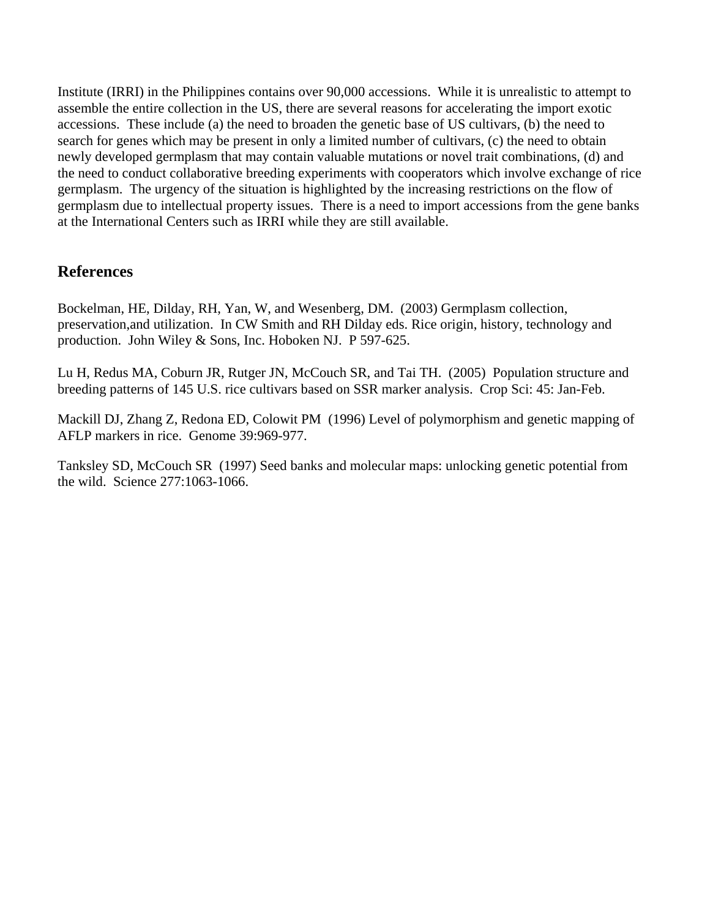Institute (IRRI) in the Philippines contains over 90,000 accessions. While it is unrealistic to attempt to assemble the entire collection in the US, there are several reasons for accelerating the import exotic accessions. These include (a) the need to broaden the genetic base of US cultivars, (b) the need to search for genes which may be present in only a limited number of cultivars, (c) the need to obtain newly developed germplasm that may contain valuable mutations or novel trait combinations, (d) and the need to conduct collaborative breeding experiments with cooperators which involve exchange of rice germplasm. The urgency of the situation is highlighted by the increasing restrictions on the flow of germplasm due to intellectual property issues. There is a need to import accessions from the gene banks at the International Centers such as IRRI while they are still available.

### **References**

Bockelman, HE, Dilday, RH, Yan, W, and Wesenberg, DM. (2003) Germplasm collection, preservation,and utilization. In CW Smith and RH Dilday eds. Rice origin, history, technology and production. John Wiley & Sons, Inc. Hoboken NJ. P 597-625.

Lu H, Redus MA, Coburn JR, Rutger JN, McCouch SR, and Tai TH. (2005) Population structure and breeding patterns of 145 U.S. rice cultivars based on SSR marker analysis. Crop Sci: 45: Jan-Feb.

Mackill DJ, Zhang Z, Redona ED, Colowit PM (1996) Level of polymorphism and genetic mapping of AFLP markers in rice. Genome 39:969-977.

Tanksley SD, McCouch SR (1997) Seed banks and molecular maps: unlocking genetic potential from the wild. Science 277:1063-1066.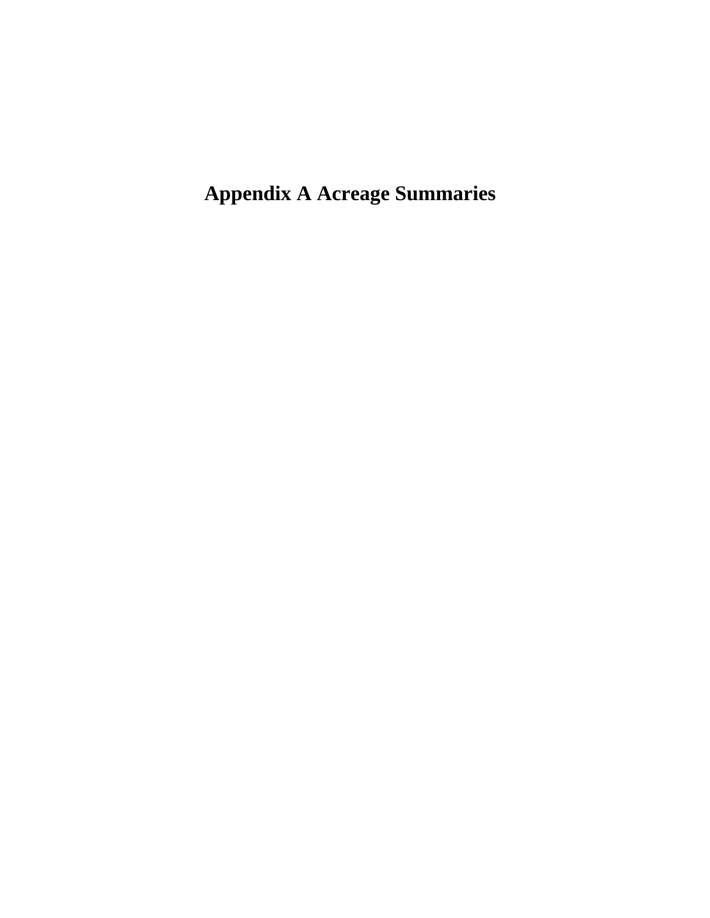**Appendix A Acreage Summaries**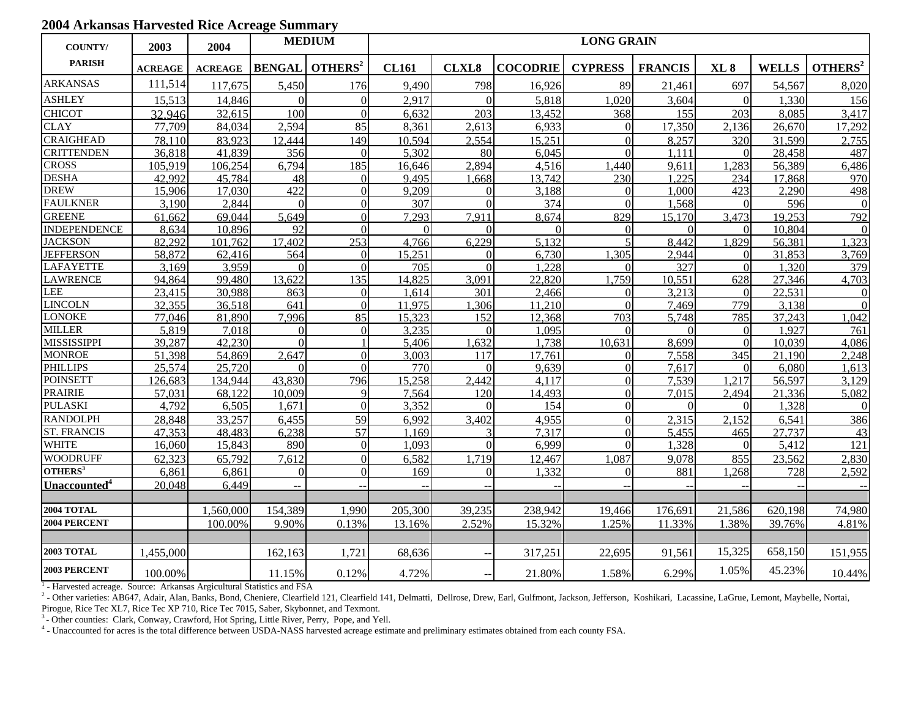### **2004 Arkansas Harvested Rice Acreage Summary**

| <b>COUNTY/</b>           | 2003           | 2004           |                  | <b>MEDIUM</b>       | <b>LONG GRAIN</b> |                |                 |                |                |              |              |                     |
|--------------------------|----------------|----------------|------------------|---------------------|-------------------|----------------|-----------------|----------------|----------------|--------------|--------------|---------------------|
| <b>PARISH</b>            | <b>ACREAGE</b> | <b>ACREAGE</b> | <b>BENGAL</b>    | OTHERS <sup>2</sup> | <b>CL161</b>      | <b>CLXL8</b>   | <b>COCODRIE</b> | <b>CYPRESS</b> | <b>FRANCIS</b> | $XL_8$       | <b>WELLS</b> | OTHERS <sup>2</sup> |
| <b>ARKANSAS</b>          | 111,514        | 117,675        | 5,450            | 176                 | 9,490             | 798            | 16,926          | 89             | 21,461         | 697          | 54,567       | 8,020               |
| <b>ASHLEY</b>            | 15,513         | 14,846         | $\Omega$         | $\Omega$            | 2,917             | $\Omega$       | 5,818           | 1,020          | 3,604          | $\Omega$     | 1,330        | 156                 |
| <b>CHICOT</b>            | 32.946         | 32,615         | 100              | $\Omega$            | 6,632             | 203            | 13,452          | 368            | 155            | 203          | 8,085        | 3,417               |
| <b>CLAY</b>              | 77,709         | 84,034         | 2,594            | 85                  | 8,361             | 2,613          | 6,933           | $\overline{0}$ | 17,350         | 2,136        | 26,670       | 17,292              |
| <b>CRAIGHEAD</b>         | 78.110         | 83,923         | 12,444           | 149                 | 10,594            | 2,554          | 15,251          | $\Omega$       | 8,257          | 320          | 31.599       | 2,755               |
| <b>CRITTENDEN</b>        | 36.818         | 41,839         | 356              | $\Omega$            | 5.302             | 80             | 6,045           | $\Omega$       | 1.111          | $\Omega$     | 28,458       | 487                 |
| <b>CROSS</b>             | 105,919        | 106,254        | 6,794            | 185                 | 16,646            | 2,894          | 4,516           | ,440           | 9,611          | 1,283        | 56,389       | 6,486               |
| <b>DESHA</b>             | 42.992         | 45,784         | 48               | $\Omega$            | 9,495             | .668           | 13,742          | 230            | 1.225          | 234          | 17,868       | 970                 |
| <b>DREW</b>              | 15,906         | 17,030         | $\overline{422}$ | $\Omega$            | 9.209             | $\Omega$       | 3,188           | $\Omega$       | 1.000          | 423          | 2.290        | 498                 |
| <b>FAULKNER</b>          | 3,190          | 2,844          | $\Omega$         | $\Omega$            | 307               | $\Omega$       | 374             | $\Omega$       | 1,568          | $\Omega$     | 596          | $\Omega$            |
| <b>GREENE</b>            | 61,662         | 69,044         | 5,649            | $\Omega$            | 7,293             | 7,911          | 8,674           | 829            | 15,170         | 3,473        | 19,253       | 792                 |
| <b>INDEPENDENCE</b>      | 8,634          | 10,896         | $\overline{92}$  | $\Omega$            | $\Omega$          | $\Omega$       | $\Omega$        | $\Omega$       | $\Omega$       | $\Omega$     | 10.804       | $\Omega$            |
| <b>JACKSON</b>           | 82,292         | 101,762        | 17,402           | 253                 | 4,766             | 6.229          | 5,132           | $\overline{5}$ | 8,442          | 1.829        | 56,381       | 1,323               |
| <b>JEFFERSON</b>         | 58,872         | 62,416         | 564              | $\Omega$            | 15,251            | $\overline{0}$ | 6,730           | 1,305          | 2,944          | $\Omega$     | 31,853       | 3,769               |
| <b>LAFAYETTE</b>         | 3,169          | 3,959          | $\Omega$         | $\Omega$            | 705               | $\Omega$       | 1.228           | $\Omega$       | 327            | $\Omega$     | 1,320        | 379                 |
| <b>LAWRENCE</b>          | 94,864         | 99,480         | 13,622           | 135                 | 14,825            | 3,091          | 22,820          | 1,759          | 10,551         | 628          | 27,346       | 4,703               |
| <b>LEE</b>               | 23.415         | 30.988         | 863              | $\Omega$            | 1.614             | 301            | 2.466           | $\Omega$       | 3.213          | $\Omega$     | 22.531       | $\theta$            |
| <b>LINCOLN</b>           | 32,355         | 36,518         | 641              | $\Omega$            | 11.975            | .306           | 11,210          | $\Omega$       | 7,469          | 779          | 3,138        | $\Omega$            |
| <b>LONOKE</b>            | 77,046         | 81,890         | 7.996            | 85                  | 15,323            | 152            | 12,368          | 703            | 5,748          | 785          | 37,243       | 1,042               |
| <b>MILLER</b>            | 5,819          | 7,018          | $\Omega$         | $\Omega$            | 3.235             | $\Omega$       | 1,095           | $\Omega$       | $\Omega$       | $\Omega$     | 1.927        | 761                 |
| <b>MISSISSIPPI</b>       | 39,287         | 42,230         | $\Omega$         |                     | 5,406             | .632           | 1,738           | 10,631         | 8,699          | $\Omega$     | 10.039       | 4,086               |
| <b>MONROE</b>            | 51,398         | 54,869         | 2,647            | ∩                   | 3,003             | 117            | 17,761          | $\Omega$       | 7,558          | 345          | 21,190       | 2,248               |
| <b>PHILLIPS</b>          | 25,574         | 25,720         | $\Omega$         | $\Omega$            | 770               | $\Omega$       | 9,639           | $\Omega$       | 7,617          | $\Omega$     | 6,080        | 1,613               |
| <b>POINSETT</b>          | 126,683        | 134.944        | 43.830           | 796                 | 15,258            | 2.442          | 4.117           | $\Omega$       | 7,539          | 1.217        | 56,597       | 3,129               |
| <b>PRAIRIE</b>           | 57,031         | 68,122         | 10,009           | $\mathbf Q$         | 7.564             | 120            | 14,493          | $\Omega$       | 7,015          | 2,494        | 21,336       | 5,082               |
| <b>PULASKI</b>           | 4,792          | 6,505          | 1,671            | $\Omega$            | 3,352             | $\Omega$       | 154             | $\Omega$       | $\Omega$       | $\Omega$     | 1,328        | $\Omega$            |
| <b>RANDOLPH</b>          | 28,848         | 33,257         | 6,455            | 59                  | 6,992             | 3,402          | 4,955           | $\Omega$       | 2,315          | 2,152        | 6,541        | 386                 |
| <b>ST. FRANCIS</b>       | 47.353         | 48.483         | 6.238            | 57                  | 1.169             | 3              | 7.317           | $\Omega$       | 5.455          | 465          | 27.737       | 43                  |
| <b>WHITE</b>             | 16,060         | 15,843         | 890              | $\Omega$            | 1,093             | $\Omega$       | 6,999           | $\Omega$       | 1,328          | $\mathbf{0}$ | 5,412        | 121                 |
| <b>WOODRUFF</b>          | 62.323         | 65.792         | 7.612            | $\Omega$            | 6,582             | .719           | 12,467          | 1.087          | 9.078          | 855          | 23,562       | 2,830               |
| OTHERS <sup>3</sup>      | 6,861          | 6,861          | $\Omega$         | $\Omega$            | 169               | $\Omega$       | 1,332           | $\Omega$       | 881            | 1,268        | 728          | 2,592               |
| Unaccounted <sup>4</sup> | 20,048         | 6,449          | $\mathbf{u}$     |                     |                   |                |                 |                |                |              |              | $\sim$              |
| <b>2004 TOTAL</b>        |                | 1,560,000      | 154,389          | 1,990               | 205,300           | 39,235         | 238,942         | 19,466         | 176,691        | 21,586       | 620,198      | 74,980              |
| 2004 PERCENT             |                | 100.00%        | 9.90%            | 0.13%               | 13.16%            | 2.52%          | 15.32%          | 1.25%          | 11.33%         | 1.38%        | 39.76%       | 4.81%               |
| <b>2003 TOTAL</b>        | 1,455,000      |                | 162,163          | 1,721               | 68,636            |                | 317,251         | 22,695         | 91,561         | 15,325       | 658,150      | 151,955             |
| 2003 PERCENT             | 100.00%        |                | 11.15%           | 0.12%               | 4.72%             |                | 21.80%          | 1.58%          | 6.29%          | 1.05%        | 45.23%       | 10.44%              |

<sup>1</sup> - Harvested acreage. Source: Arkansas Argicultural Statistics and FSA

<sup>2</sup> - Other varieties: AB647, Adair, Alan, Banks, Bond, Cheniere, Clearfield 121, Clearfield 141, Delmatti, Dellrose, Drew, Earl, Gulfmont, Jackson, Jefferson, Koshikari, Lacassine, LaGrue, Lemont, Maybelle, Nortai,

Pirogue, Rice Tec XL7, Rice Tec XP 710, Rice Tec 7015, Saber, Skybonnet, and Texmont.

<sup>3</sup> - Other counties: Clark, Conway, Crawford, Hot Spring, Little River, Perry, Pope, and Yell.

4 - Unaccounted for acres is the total difference between USDA-NASS harvested acreage estimate and preliminary estimates obtained from each county FSA.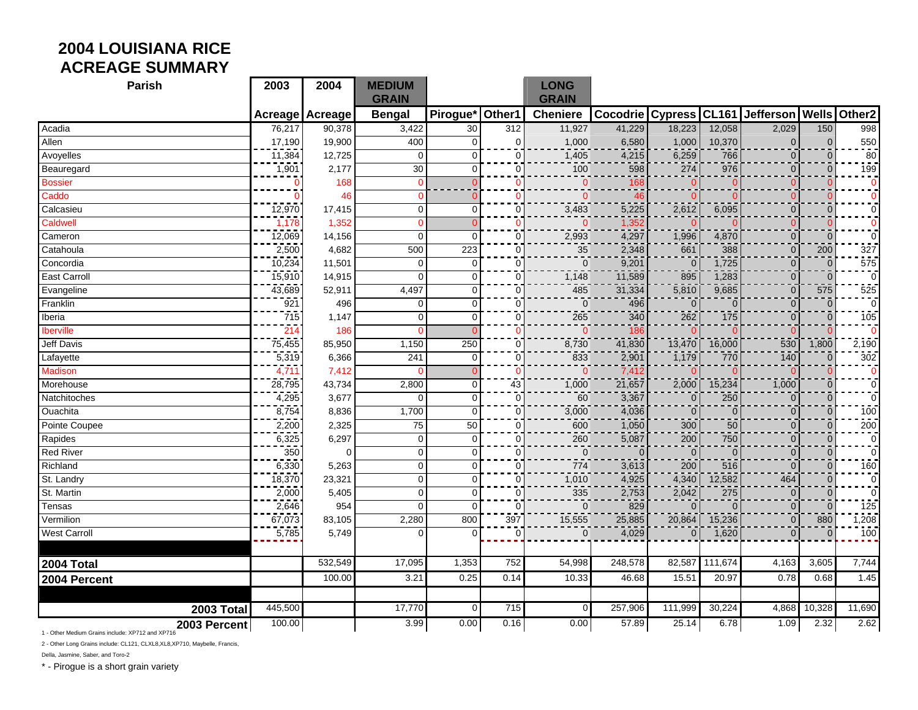## **2004 LOUISIANA RICE ACREAGE SUMMARY**

| <b>Parish</b>       | 2003      | 2004     | <b>MEDIUM</b><br><b>GRAIN</b> |                |             | <b>LONG</b><br><b>GRAIN</b> |                 |                |          |                         |                |                         |
|---------------------|-----------|----------|-------------------------------|----------------|-------------|-----------------------------|-----------------|----------------|----------|-------------------------|----------------|-------------------------|
|                     | Acreage   | Acreage  | <b>Bengal</b>                 | Pirogue*       | Other1      | <b>Cheniere</b>             | <b>Cocodrie</b> |                |          | Cypress CL161 Jefferson |                | <b>Wells Other2</b>     |
| Acadia              | 76,217    | 90,378   | 3,422                         | 30             | 312         | 11,927                      | 41,229          | 18,223         | 12,058   | 2,029                   | 150            | 998                     |
| Allen               | 17,190    | 19,900   | 400                           | $\Omega$       | $\Omega$    | 1,000                       | 6,580           | 1,000          | 10,370   | $\mathbf{0}$            | $\Omega$       | 550                     |
| Avoyelles           | 11,384    | 12,725   | $\Omega$                      | $\mathbf 0$    | $\Omega$    | 1,405                       | 4,215           | 6,259          | 766      | $\overline{0}$          | $\mathbf{0}$   | $\overline{80}$         |
| Beauregard          | 1,901     | 2,177    | 30                            | $\mathbf 0$    | $\mathbf 0$ | 100                         | 598             | 274            | 976      | $\mathbf{0}$            | $\mathbf{0}$   | 199                     |
| <b>Bossier</b>      | 0         | 168      | $\mathbf{0}$                  | $\Omega$       | 0           | $\mathbf 0$                 | 168             | 0              | $\Omega$ | $\Omega$                | $\Omega$       | $\mathbf 0$             |
| Caddo               | ∩         | 46       | $\mathbf{0}$                  | $\Omega$       |             | $\overline{0}$              | 46              | O              | $\Omega$ | 0                       | $\mathbf{0}$   | $\overline{0}$          |
| Calcasieu           | $-72,970$ | 17,415   | $\pmb{0}$                     | 0              | 0           | 3,483                       | 5,225           | 2,612          | 6,095    | $\mathbf{0}$            | $\mathbf{0}$   | $\overline{0}$          |
| Caldwell            | 1,178     | 1,352    | $\Omega$                      | $\Omega$       |             | $\Omega$                    | 1,352           |                |          | $\Omega$                | $\Omega$       | $\overline{\mathbf{0}}$ |
| Cameron             | 12,069    | 14,156   | $\Omega$                      | $\Omega$       | $\Omega$    | 2,993                       | 4,297           | 1,996          | 4,870    | $\overline{0}$          | $\Omega$       | $\overline{0}$          |
| Catahoula           | 2,500     | 4,682    | 500                           | 223            | $\Omega$    | 35                          | 2,348           | 661            | 388      | $\mathbf{0}$            | 200            | 327                     |
| Concordia           | 10,234    | 11,501   | $\mathbf 0$                   | $\mathbf 0$    | $\Omega$    | $\mathbf 0$                 | 9,201           | $\mathbf{0}$   | 1,725    | $\mathbf{0}$            | $\mathbf{0}$   | 575                     |
| <b>East Carroll</b> | 15,910    | 14,915   | $\overline{0}$                | $\Omega$       | $\Omega$    | 1,148                       | 11,589          | 895            | 1,283    | $\mathbf{0}$            | $\overline{0}$ | $\Omega$                |
| Evangeline          | 43,689    | 52,911   | 4,497                         | $\Omega$       | $\Omega$    | 485                         | 31,334          | 5,810          | 9,685    | $\overline{0}$          | 575            | 525                     |
| Franklin            | $-921$    | 496      | 0                             | $\overline{0}$ | $\Omega$    | $\overline{0}$              | 496             | $\mathbf{0}$   | $\Omega$ | $\mathbf 0$             | $\mathbf{0}$   | $\overline{0}$          |
| Iberia              | -715      | 1,147    | $\mathbf 0$                   | $\mathbf 0$    | $\mathbf 0$ | 265                         | 340             | 262            | 175      | $\mathbf{0}$            | $\mathbf{0}$   | 105                     |
| <b>Iberville</b>    | 214       | 186      | $\mathbf 0$                   | $\Omega$       | 0           | $\mathbf{0}$                | 186             | $\Omega$       | $\cap$   | $\Omega$                | $\Omega$       | $\Omega$                |
| <b>Jeff Davis</b>   | 75,455    | 85,950   | 1,150                         | 250            | 0           | 8,730                       | 41,830          | 13,470         | 16,000   | 530                     | 1,800          | 2,190                   |
| Lafayette           | 5,319     | 6,366    | 241                           | $\Omega$       | $\Omega$    | 833                         | 2,901           | 1,179          | 770      | 140                     | $\Omega$       | 302                     |
| <b>Madison</b>      | 4,711     | 7,412    | $\Omega$                      | $\Omega$       |             | $\Omega$                    | 7,412           |                |          | ∩                       | $\Omega$       | $\Omega$                |
| Morehouse           | 28,795    | 43,734   | 2,800                         | $\mathbf 0$    | 43          | 1,000                       | 21,657          | 2,000          | 15,234   | 1,000                   | $\mathbf{0}$   | $\overline{0}$          |
| Natchitoches        | 4,295     | 3,677    | $\mathbf 0$                   | $\mathbf 0$    | $\mathbf 0$ | 60                          | 3,367           | $\Omega$       | 250      | $\overline{0}$          | $\mathbf{0}$   | $\mathbf 0$             |
| Ouachita            | 8,754     | 8,836    | 1,700                         | $\overline{0}$ | $\mathbf 0$ | 3,000                       | 4,036           | $\mathbf 0$    | $\Omega$ | $\mathbf{0}$            | $\mathbf{0}$   | 100                     |
| Pointe Coupee       | 2,200     | 2,325    | 75                            | 50             | $\Omega$    | 600                         | 1,050           | 300            | 50       | $\mathbf 0$             | $\mathbf{0}$   | $\frac{200}{0}$         |
| Rapides             | 6,325     | 6,297    | $\pmb{0}$                     | $\overline{0}$ | $\mathbf 0$ | 260                         | 5,087           | 200            | 750      | $\mathbf{0}$            | $\overline{0}$ |                         |
| <b>Red River</b>    | 350       | $\Omega$ | $\pmb{0}$                     | $\mathbf 0$    | $\mathbf 0$ | $\mathbf{0}$                | $\overline{0}$  | $\mathbf{0}$   | $\Omega$ | $\mathbf{0}$            | $\mathbf{0}$   | $\mathbf 0$             |
| Richland            | 6,330     | 5,263    | $\mathbf 0$                   | $\mathbf 0$    | $\mathbf 0$ | 774                         | 3,613           | 200            | 516      | $\overline{0}$          | $\mathbf 0$    | 160                     |
| St. Landry          | 18,370    | 23,321   | $\pmb{0}$                     | $\Omega$       | 0           | 1,010                       | 4,925           | 4,340          | 12,582   | 464                     | $\mathbf 0$    | $\pmb{0}$               |
| St. Martin          | 2,000     | 5,405    | $\overline{0}$                | $\mathbf{0}$   | $\Omega$    | 335                         | 2,753           | 2,042          | 275      | $\mathbf{0}$            | $\mathbf{0}$   | $\mathbf 0$             |
| Tensas              | 2,646     | 954      | $\overline{0}$                | $\Omega$       | $\Omega$    | $\Omega$                    | 829             | $\Omega$       | $\Omega$ | $\Omega$                | $\Omega$       | 125                     |
| Vermilion           | 67,073    | 83,105   | 2,280                         | 800            | 397         | 15,555                      | 25,885          | 20,864         | 15,236   | $\Omega$                | 880            | 1,208                   |
| <b>West Carroll</b> | 5,785     | 5,749    | 0                             | $\Omega$       | $\mathbf 0$ | $\mathbf{0}$                | 4,029           | $\overline{0}$ | 1,620    | $\mathbf 0$             | $\mathbf 0$    | $\overline{100}$        |
|                     |           |          |                               |                |             |                             |                 |                |          |                         |                |                         |
| 2004 Total          |           | 532,549  | 17,095                        | 1,353          | 752         | 54,998                      | 248,578         | 82,587         | 111,674  | 4,163                   | 3,605          | 7,744                   |
| 2004 Percent        |           | 100.00   | 3.21                          | 0.25           | 0.14        | 10.33                       | 46.68           | 15.51          | 20.97    | 0.78                    | 0.68           | 1.45                    |
|                     |           |          |                               |                |             |                             |                 |                |          |                         |                |                         |
| 2003 Total          | 445,500   |          | 17,770                        | $\overline{0}$ | 715         | $\mathbf 0$                 | 257,906         | 111,999        | 30,224   | 4,868                   | 10,328         | 11,690                  |
| 2003 Percent        | 100.00    |          | 3.99                          | 0.00           | 0.16        | 0.00                        | 57.89           | 25.14          | 6.78     | 1.09                    | 2.32           | 2.62                    |

1 - Other Medium Grains include: XP712 and XP716

2 - Other Long Grains include: CL121, CLXL8,XL8,XP710, Maybelle, Francis,

Della, Jasmine, Saber, and Toro-2

\* - Pirogue is a short grain variety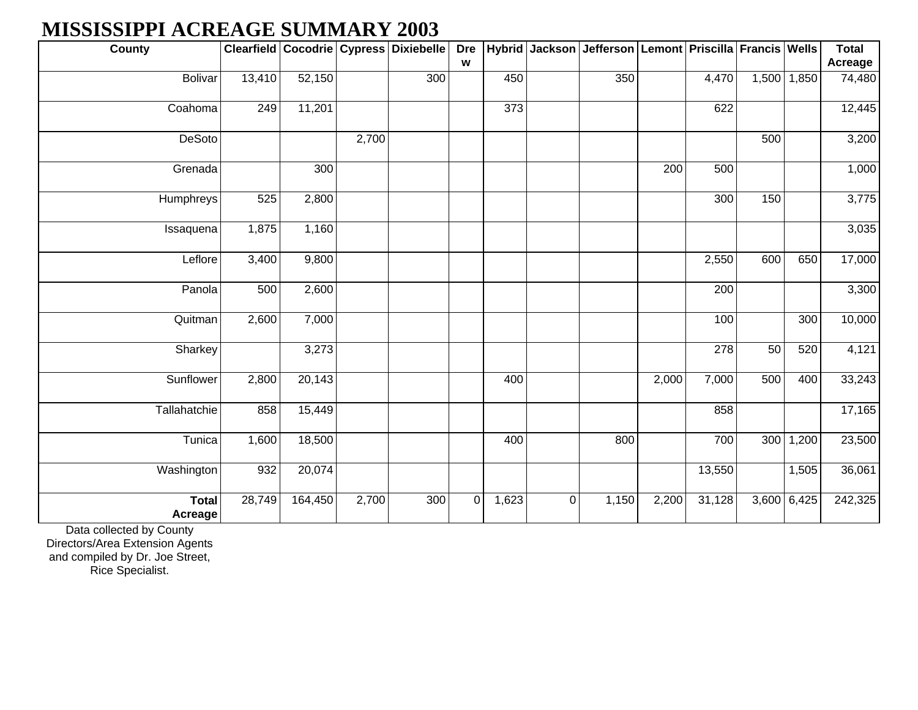# **MISSISSIPPI ACREAGE SUMMARY 2003**

| <b>County</b>           |        |         |       | Clearfield Cocodrie Cypress Dixiebelle | <b>Dre</b>  | <b>Hybrid</b> | Jackson | Jefferson   Lemont   Priscilla   Francis   Wells |       |        |       |             | <b>Total</b> |
|-------------------------|--------|---------|-------|----------------------------------------|-------------|---------------|---------|--------------------------------------------------|-------|--------|-------|-------------|--------------|
|                         |        |         |       |                                        | W           |               |         |                                                  |       |        |       |             | Acreage      |
| Bolivar                 | 13,410 | 52,150  |       | 300                                    |             | 450           |         | 350                                              |       | 4,470  |       | 1,500 1,850 | 74,480       |
| Coahoma                 | 249    | 11,201  |       |                                        |             | 373           |         |                                                  |       | 622    |       |             | 12,445       |
| <b>DeSoto</b>           |        |         | 2,700 |                                        |             |               |         |                                                  |       |        | 500   |             | 3,200        |
| Grenada                 |        | 300     |       |                                        |             |               |         |                                                  | 200   | 500    |       |             | 1,000        |
| Humphreys               | 525    | 2,800   |       |                                        |             |               |         |                                                  |       | 300    | 150   |             | 3,775        |
| Issaquena               | 1,875  | 1,160   |       |                                        |             |               |         |                                                  |       |        |       |             | 3,035        |
| Leflore                 | 3,400  | 9,800   |       |                                        |             |               |         |                                                  |       | 2,550  | 600   | 650         | 17,000       |
| Panola                  | 500    | 2,600   |       |                                        |             |               |         |                                                  |       | 200    |       |             | 3,300        |
| Quitman                 | 2,600  | 7,000   |       |                                        |             |               |         |                                                  |       | 100    |       | 300         | 10,000       |
| Sharkey                 |        | 3,273   |       |                                        |             |               |         |                                                  |       | 278    | 50    | 520         | 4,121        |
| Sunflower               | 2,800  | 20,143  |       |                                        |             | 400           |         |                                                  | 2,000 | 7,000  | 500   | 400         | 33,243       |
| Tallahatchie            | 858    | 15,449  |       |                                        |             |               |         |                                                  |       | 858    |       |             | 17,165       |
| Tunica                  | 1,600  | 18,500  |       |                                        |             | 400           |         | 800                                              |       | 700    | 300   | 1,200       | 23,500       |
| Washington              | 932    | 20,074  |       |                                        |             |               |         |                                                  |       | 13,550 |       | 1,505       | 36,061       |
| <b>Total</b><br>Acreage | 28,749 | 164,450 | 2,700 | 300                                    | $\mathbf 0$ | 1,623         | 0       | 1,150                                            | 2,200 | 31,128 | 3,600 | 6,425       | 242,325      |

Data collected by County

Directors/Area Extension Agents and compiled by Dr. Joe Street, Rice Specialist.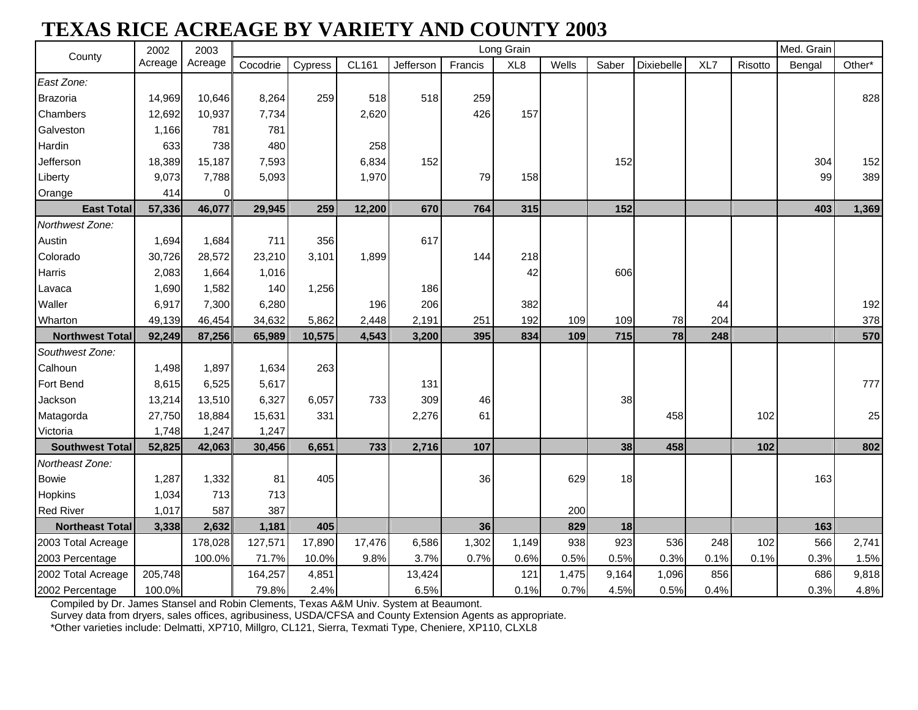# **TEXAS RICE ACREAGE BY VARIETY AND COUNTY 2003**

| County                 | 2002    | 2003    |          |         |              |           |         | Long Grain      |       |       |                   |      |         | Med. Grain |        |
|------------------------|---------|---------|----------|---------|--------------|-----------|---------|-----------------|-------|-------|-------------------|------|---------|------------|--------|
|                        | Acreage | Acreage | Cocodrie | Cypress | <b>CL161</b> | Jefferson | Francis | XL <sub>8</sub> | Wells | Saber | <b>Dixiebelle</b> | XL7  | Risotto | Bengal     | Other* |
| East Zone:             |         |         |          |         |              |           |         |                 |       |       |                   |      |         |            |        |
| Brazoria               | 14,969  | 10,646  | 8,264    | 259     | 518          | 518       | 259     |                 |       |       |                   |      |         |            | 828    |
| Chambers               | 12,692  | 10,937  | 7,734    |         | 2,620        |           | 426     | 157             |       |       |                   |      |         |            |        |
| Galveston              | 1,166   | 781     | 781      |         |              |           |         |                 |       |       |                   |      |         |            |        |
| Hardin                 | 633     | 738     | 480      |         | 258          |           |         |                 |       |       |                   |      |         |            |        |
| Jefferson              | 18,389  | 15,187  | 7,593    |         | 6,834        | 152       |         |                 |       | 152   |                   |      |         | 304        | 152    |
| Liberty                | 9,073   | 7,788   | 5,093    |         | 1,970        |           | 79      | 158             |       |       |                   |      |         | 99         | 389    |
| Orange                 | 414     | 0       |          |         |              |           |         |                 |       |       |                   |      |         |            |        |
| <b>East Total</b>      | 57,336  | 46,077  | 29,945   | 259     | 12,200       | 670       | 764     | 315             |       | 152   |                   |      |         | 403        | 1,369  |
| Northwest Zone:        |         |         |          |         |              |           |         |                 |       |       |                   |      |         |            |        |
| Austin                 | 1,694   | 1,684   | 711      | 356     |              | 617       |         |                 |       |       |                   |      |         |            |        |
| Colorado               | 30,726  | 28,572  | 23,210   | 3,101   | 1,899        |           | 144     | 218             |       |       |                   |      |         |            |        |
| Harris                 | 2,083   | 1,664   | 1,016    |         |              |           |         | 42              |       | 606   |                   |      |         |            |        |
| Lavaca                 | 1,690   | 1,582   | 140      | 1,256   |              | 186       |         |                 |       |       |                   |      |         |            |        |
| Waller                 | 6,917   | 7,300   | 6,280    |         | 196          | 206       |         | 382             |       |       |                   | 44   |         |            | 192    |
| Wharton                | 49,139  | 46,454  | 34,632   | 5,862   | 2,448        | 2,191     | 251     | 192             | 109   | 109   | 78                | 204  |         |            | 378    |
| <b>Northwest Total</b> | 92,249  | 87,256  | 65,989   | 10,575  | 4,543        | 3,200     | 395     | 834             | 109   | 715   | 78                | 248  |         |            | 570    |
| Southwest Zone:        |         |         |          |         |              |           |         |                 |       |       |                   |      |         |            |        |
| Calhoun                | 1,498   | 1,897   | 1,634    | 263     |              |           |         |                 |       |       |                   |      |         |            |        |
| Fort Bend              | 8,615   | 6,525   | 5,617    |         |              | 131       |         |                 |       |       |                   |      |         |            | 777    |
| Jackson                | 13,214  | 13,510  | 6,327    | 6,057   | 733          | 309       | 46      |                 |       | 38    |                   |      |         |            |        |
| Matagorda              | 27,750  | 18,884  | 15,631   | 331     |              | 2,276     | 61      |                 |       |       | 458               |      | 102     |            | 25     |
| Victoria               | 1,748   | 1,247   | 1,247    |         |              |           |         |                 |       |       |                   |      |         |            |        |
| <b>Southwest Total</b> | 52,825  | 42,063  | 30,456   | 6,651   | 733          | 2,716     | 107     |                 |       | 38    | 458               |      | 102     |            | 802    |
| Northeast Zone:        |         |         |          |         |              |           |         |                 |       |       |                   |      |         |            |        |
| <b>Bowie</b>           | 1,287   | 1,332   | 81       | 405     |              |           | 36      |                 | 629   | 18    |                   |      |         | 163        |        |
| Hopkins                | 1,034   | 713     | 713      |         |              |           |         |                 |       |       |                   |      |         |            |        |
| <b>Red River</b>       | 1,017   | 587     | 387      |         |              |           |         |                 | 200   |       |                   |      |         |            |        |
| <b>Northeast Total</b> | 3,338   | 2,632   | 1,181    | 405     |              |           | 36      |                 | 829   | 18    |                   |      |         | 163        |        |
| 2003 Total Acreage     |         | 178,028 | 127,571  | 17,890  | 17,476       | 6,586     | 1,302   | 1,149           | 938   | 923   | 536               | 248  | 102     | 566        | 2,741  |
| 2003 Percentage        |         | 100.0%  | 71.7%    | 10.0%   | 9.8%         | 3.7%      | 0.7%    | 0.6%            | 0.5%  | 0.5%  | 0.3%              | 0.1% | 0.1%    | 0.3%       | 1.5%   |
| 2002 Total Acreage     | 205,748 |         | 164,257  | 4,851   |              | 13,424    |         | 121             | 1,475 | 9,164 | 1,096             | 856  |         | 686        | 9,818  |
| 2002 Percentage        | 100.0%  |         | 79.8%    | 2.4%    |              | 6.5%      |         | 0.1%            | 0.7%  | 4.5%  | 0.5%              | 0.4% |         | 0.3%       | 4.8%   |

Compiled by Dr. James Stansel and Robin Clements, Texas A&M Univ. System at Beaumont.

Survey data from dryers, sales offices, agribusiness, USDA/CFSA and County Extension Agents as appropriate.

\*Other varieties include: Delmatti, XP710, Millgro, CL121, Sierra, Texmati Type, Cheniere, XP110, CLXL8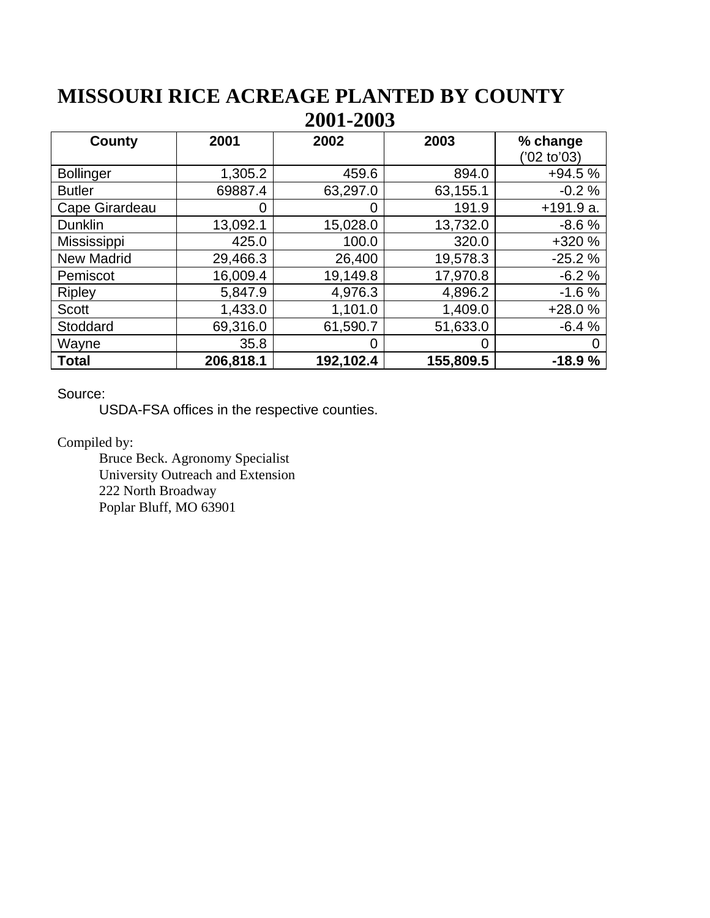## **MISSOURI RICE ACREAGE PLANTED BY COUNTY 2001-2003**

| County             | 2001      | 2002      | 2003      | % change<br>(22 to 03) |
|--------------------|-----------|-----------|-----------|------------------------|
| <b>Bollinger</b>   | 1,305.2   | 459.6     | 894.0     | $+94.5%$               |
| <b>Butler</b>      | 69887.4   | 63,297.0  | 63,155.1  | $-0.2%$                |
| Cape Girardeau     | 0         | 0         | 191.9     | $+191.9a$ .            |
| <b>Dunklin</b>     | 13,092.1  | 15,028.0  | 13,732.0  | $-8.6%$                |
| <b>Mississippi</b> | 425.0     | 100.0     | 320.0     | +320 %                 |
| <b>New Madrid</b>  | 29,466.3  | 26,400    | 19,578.3  | $-25.2%$               |
| Pemiscot           | 16,009.4  | 19,149.8  | 17,970.8  | $-6.2%$                |
| <b>Ripley</b>      | 5,847.9   | 4,976.3   | 4,896.2   | $-1.6%$                |
| <b>Scott</b>       | 1,433.0   | 1,101.0   | 1,409.0   | $+28.0%$               |
| Stoddard           | 69,316.0  | 61,590.7  | 51,633.0  | $-6.4%$                |
| Wayne              | 35.8      | 0         | O         |                        |
| <b>Total</b>       | 206,818.1 | 192,102.4 | 155,809.5 | $-18.9%$               |

Source:

USDA-FSA offices in the respective counties.

Compiled by:

Bruce Beck. Agronomy Specialist University Outreach and Extension 222 North Broadway Poplar Bluff, MO 63901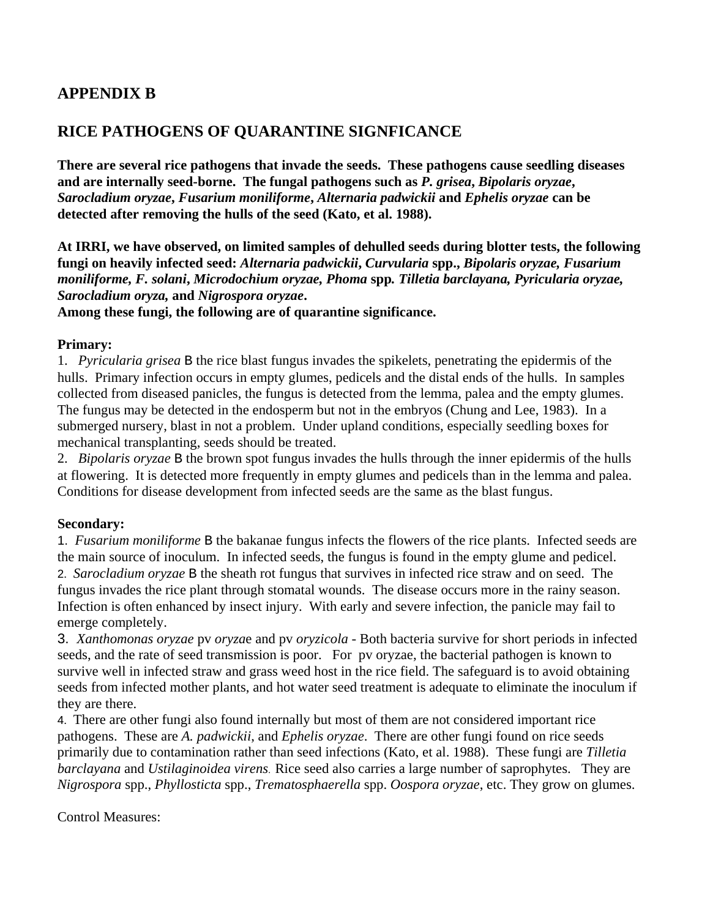## **APPENDIX B**

## **RICE PATHOGENS OF QUARANTINE SIGNFICANCE**

**There are several rice pathogens that invade the seeds. These pathogens cause seedling diseases and are internally seed-borne. The fungal pathogens such as** *P. grisea***,** *Bipolaris oryzae***,**  *Sarocladium oryzae***,** *Fusarium moniliforme***,** *Alternaria padwickii* **and** *Ephelis oryzae* **can be detected after removing the hulls of the seed (Kato, et al. 1988).** 

**At IRRI, we have observed, on limited samples of dehulled seeds during blotter tests, the following fungi on heavily infected seed:** *Alternaria padwickii***,** *Curvularia* **spp.,** *Bipolaris oryzae, Fusarium moniliforme, F. solani***,** *Microdochium oryzae, Phoma* **spp***. Tilletia barclayana, Pyricularia oryzae, Sarocladium oryza,* **and** *Nigrospora oryzae***.** 

**Among these fungi, the following are of quarantine significance.** 

### **Primary:**

1. *Pyricularia grisea* B the rice blast fungus invades the spikelets, penetrating the epidermis of the hulls. Primary infection occurs in empty glumes, pedicels and the distal ends of the hulls. In samples collected from diseased panicles, the fungus is detected from the lemma, palea and the empty glumes. The fungus may be detected in the endosperm but not in the embryos (Chung and Lee, 1983). In a submerged nursery, blast in not a problem. Under upland conditions, especially seedling boxes for mechanical transplanting, seeds should be treated.

2. *Bipolaris oryzae* B the brown spot fungus invades the hulls through the inner epidermis of the hulls at flowering. It is detected more frequently in empty glumes and pedicels than in the lemma and palea. Conditions for disease development from infected seeds are the same as the blast fungus.

### **Secondary:**

1. *Fusarium moniliforme* B the bakanae fungus infects the flowers of the rice plants. Infected seeds are the main source of inoculum. In infected seeds, the fungus is found in the empty glume and pedicel. 2. *Sarocladium oryzae* B the sheath rot fungus that survives in infected rice straw and on seed. The fungus invades the rice plant through stomatal wounds. The disease occurs more in the rainy season. Infection is often enhanced by insect injury. With early and severe infection, the panicle may fail to emerge completely.

3. *Xanthomonas oryzae* pv *oryza*e and pv *oryzicola* - Both bacteria survive for short periods in infected seeds, and the rate of seed transmission is poor. For pv oryzae, the bacterial pathogen is known to survive well in infected straw and grass weed host in the rice field. The safeguard is to avoid obtaining seeds from infected mother plants, and hot water seed treatment is adequate to eliminate the inoculum if they are there.

4. There are other fungi also found internally but most of them are not considered important rice pathogens. These are *A. padwickii*, and *Ephelis oryzae*. There are other fungi found on rice seeds primarily due to contamination rather than seed infections (Kato, et al. 1988). These fungi are *Tilletia barclayana* and *Ustilaginoidea virens*. Rice seed also carries a large number of saprophytes. They are *Nigrospora* spp., *Phyllosticta* spp., *Trematosphaerella* spp. *Oospora oryzae*, etc. They grow on glumes.

Control Measures: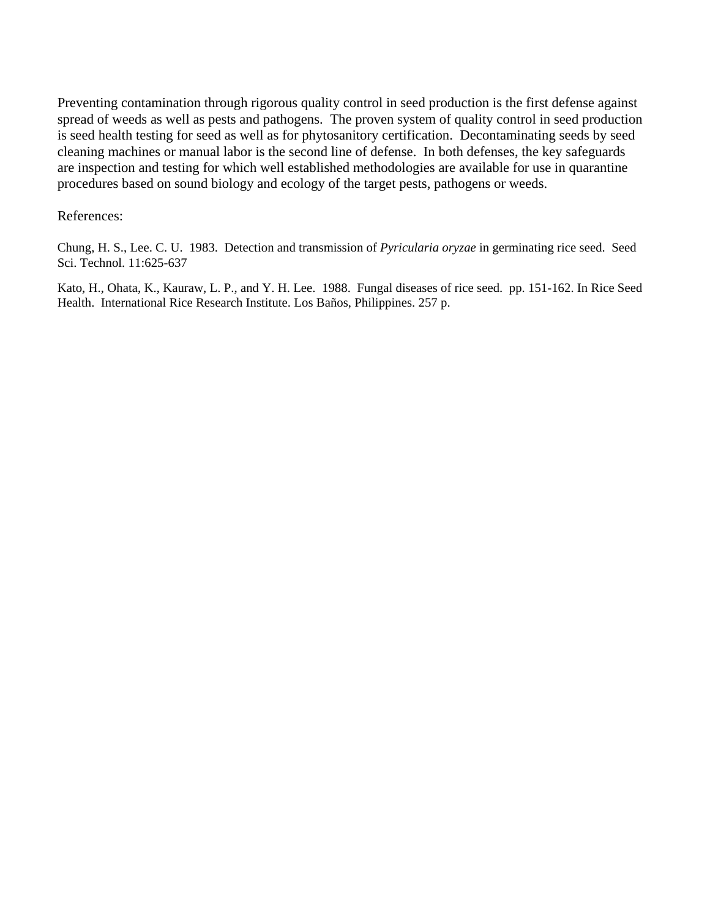Preventing contamination through rigorous quality control in seed production is the first defense against spread of weeds as well as pests and pathogens. The proven system of quality control in seed production is seed health testing for seed as well as for phytosanitory certification. Decontaminating seeds by seed cleaning machines or manual labor is the second line of defense. In both defenses, the key safeguards are inspection and testing for which well established methodologies are available for use in quarantine procedures based on sound biology and ecology of the target pests, pathogens or weeds.

### References:

Chung, H. S., Lee. C. U. 1983. Detection and transmission of *Pyricularia oryzae* in germinating rice seed. Seed Sci. Technol. 11:625-637

Kato, H., Ohata, K., Kauraw, L. P., and Y. H. Lee. 1988. Fungal diseases of rice seed. pp. 151-162. In Rice Seed Health. International Rice Research Institute. Los Baños, Philippines. 257 p.